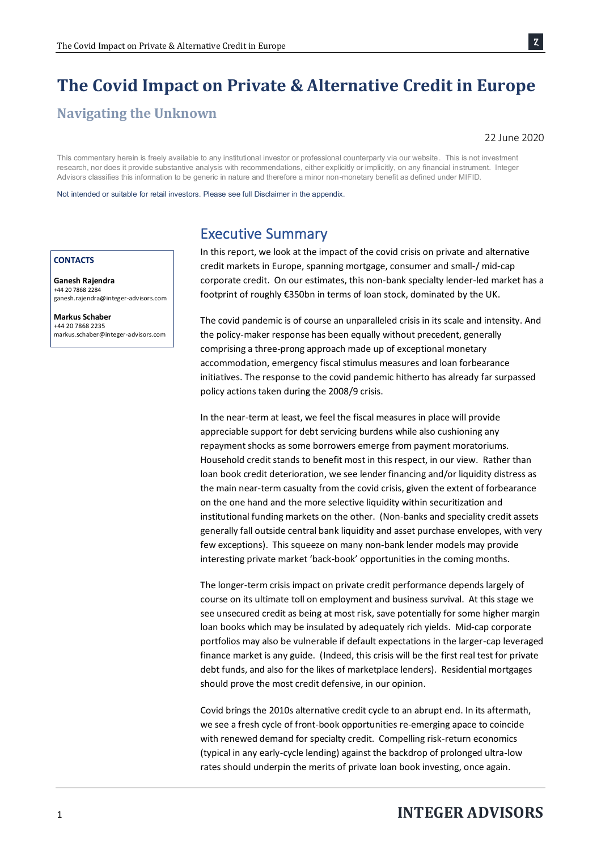# **The Covid Impact on Private & Alternative Credit in Europe**

### **Navigating the Unknown**

#### 22 June 2020

Ȥ

This commentary herein is freely available to any institutional investor or professional counterparty via our website. This is not investment research, nor does it provide substantive analysis with recommendations, either explicitly or implicitly, on any financial instrument. Integer Advisors classifies this information to be generic in nature and therefore a minor non-monetary benefit as defined under MIFID.

Not intended or suitable for retail investors. Please see full Disclaimer in the appendix.

#### **CONTACTS**

**Ganesh Rajendra** +44 20 7868 2284 ganesh.rajendra@integer-advisors.com

**Markus Schaber** +44 20 7868 2235 markus.schaber@integer-advisors.com

### Executive Summary

In this report, we look at the impact of the covid crisis on private and alternative credit markets in Europe, spanning mortgage, consumer and small-/ mid-cap corporate credit. On our estimates, this non-bank specialty lender-led market has a footprint of roughly €350bn in terms of loan stock, dominated by the UK.

The covid pandemic is of course an unparalleled crisis in its scale and intensity. And the policy-maker response has been equally without precedent, generally comprising a three-prong approach made up of exceptional monetary accommodation, emergency fiscal stimulus measures and loan forbearance initiatives. The response to the covid pandemic hitherto has already far surpassed policy actions taken during the 2008/9 crisis.

In the near-term at least, we feel the fiscal measures in place will provide appreciable support for debt servicing burdens while also cushioning any repayment shocks as some borrowers emerge from payment moratoriums. Household credit stands to benefit most in this respect, in our view. Rather than loan book credit deterioration, we see lender financing and/or liquidity distress as the main near-term casualty from the covid crisis, given the extent of forbearance on the one hand and the more selective liquidity within securitization and institutional funding markets on the other. (Non-banks and speciality credit assets generally fall outside central bank liquidity and asset purchase envelopes, with very few exceptions). This squeeze on many non-bank lender models may provide interesting private market 'back-book' opportunities in the coming months.

The longer-term crisis impact on private credit performance depends largely of course on its ultimate toll on employment and business survival. At this stage we see unsecured credit as being at most risk, save potentially for some higher margin loan books which may be insulated by adequately rich yields. Mid-cap corporate portfolios may also be vulnerable if default expectations in the larger-cap leveraged finance market is any guide. (Indeed, this crisis will be the first real test for private debt funds, and also for the likes of marketplace lenders). Residential mortgages should prove the most credit defensive, in our opinion.

Covid brings the 2010s alternative credit cycle to an abrupt end. In its aftermath, we see a fresh cycle of front-book opportunities re-emerging apace to coincide with renewed demand for specialty credit. Compelling risk-return economics (typical in any early-cycle lending) against the backdrop of prolonged ultra-low rates should underpin the merits of private loan book investing, once again.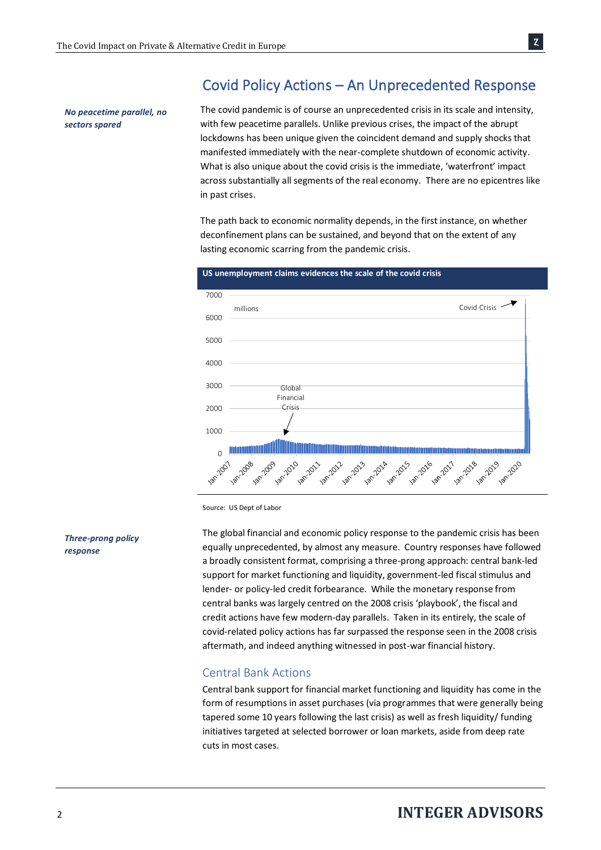## Covid Policy Actions – An Unprecedented Response

*No peacetime parallel, no sectors spared*

The covid pandemic is of course an unprecedented crisis in its scale and intensity, with few peacetime parallels. Unlike previous crises, the impact of the abrupt lockdowns has been unique given the coincident demand and supply shocks that manifested immediately with the near-complete shutdown of economic activity. What is also unique about the covid crisis is the immediate, 'waterfront' impact across substantially all segments of the real economy. There are no epicentres like in past crises.

The path back to economic normality depends, in the first instance, on whether deconfinement plans can be sustained, and beyond that on the extent of any lasting economic scarring from the pandemic crisis.



#### **US unemployment claims evidences the scale of the covid crisis**

Source: US Dept of Labor

*Three-prong policy response*

The global financial and economic policy response to the pandemic crisis has been equally unprecedented, by almost any measure. Country responses have followed a broadly consistent format, comprising a three-prong approach: central bank-led support for market functioning and liquidity, government-led fiscal stimulus and lender- or policy-led credit forbearance. While the monetary response from central banks was largely centred on the 2008 crisis 'playbook', the fiscal and credit actions have few modern-day parallels. Taken in its entirely, the scale of covid-related policy actions has far surpassed the response seen in the 2008 crisis aftermath, and indeed anything witnessed in post-war financial history.

### Central Bank Actions

Central bank support for financial market functioning and liquidity has come in the form of resumptions in asset purchases (via programmes that were generally being tapered some 10 years following the last crisis) as well as fresh liquidity/ funding initiatives targeted at selected borrower or loan markets, aside from deep rate cuts in most cases.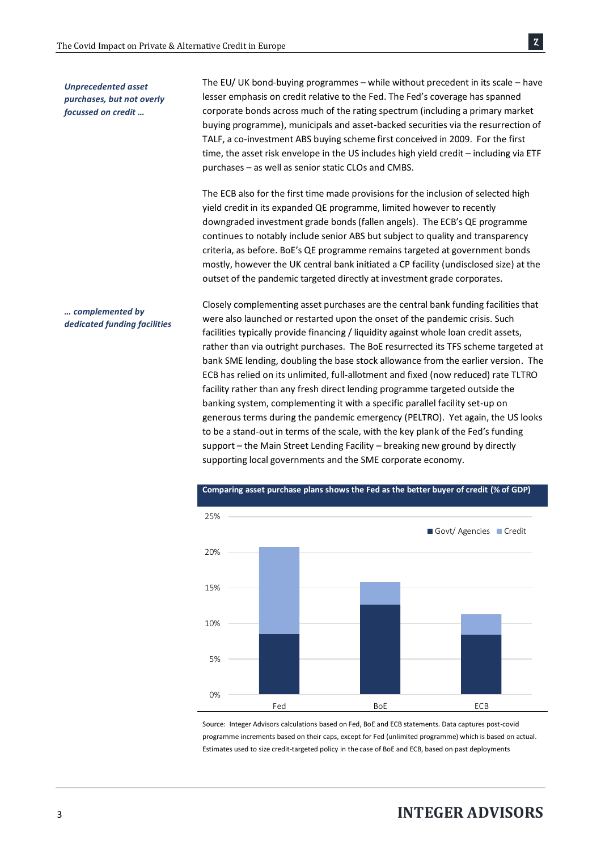*Unprecedented asset purchases, but not overly focussed on credit …*

The EU/ UK bond-buying programmes – while without precedent in its scale – have lesser emphasis on credit relative to the Fed. The Fed's coverage has spanned corporate bonds across much of the rating spectrum (including a primary market buying programme), municipals and asset-backed securities via the resurrection of TALF, a co-investment ABS buying scheme first conceived in 2009. For the first time, the asset risk envelope in the US includes high yield credit – including via ETF purchases – as well as senior static CLOs and CMBS.

Ȥ

The ECB also for the first time made provisions for the inclusion of selected high yield credit in its expanded QE programme, limited however to recently downgraded investment grade bonds (fallen angels). The ECB's QE programme continues to notably include senior ABS but subject to quality and transparency criteria, as before. BoE's QE programme remains targeted at government bonds mostly, however the UK central bank initiated a CP facility (undisclosed size) at the outset of the pandemic targeted directly at investment grade corporates.

Closely complementing asset purchases are the central bank funding facilities that were also launched or restarted upon the onset of the pandemic crisis. Such facilities typically provide financing / liquidity against whole loan credit assets, rather than via outright purchases. The BoE resurrected its TFS scheme targeted at bank SME lending, doubling the base stock allowance from the earlier version. The ECB has relied on its unlimited, full-allotment and fixed (now reduced) rate TLTRO facility rather than any fresh direct lending programme targeted outside the banking system, complementing it with a specific parallel facility set-up on generous terms during the pandemic emergency (PELTRO). Yet again, the US looks to be a stand-out in terms of the scale, with the key plank of the Fed's funding support – the Main Street Lending Facility – breaking new ground by directly supporting local governments and the SME corporate economy.



Source: Integer Advisors calculations based on Fed, BoE and ECB statements. Data captures post-covid programme increments based on their caps, except for Fed (unlimited programme) which is based on actual. Estimates used to size credit-targeted policy in the case of BoE and ECB, based on past deployments

## <sup>3</sup>**INTEGER ADVISORS**

#### *… complemented by dedicated funding facilities*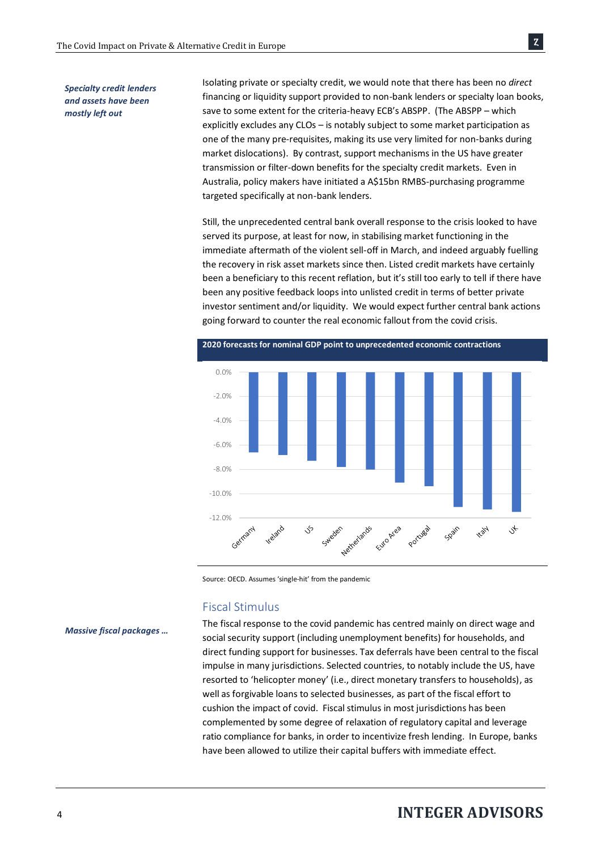*Specialty credit lenders and assets have been mostly left out*

Isolating private or specialty credit, we would note that there has been no *direct* financing or liquidity support provided to non-bank lenders or specialty loan books, save to some extent for the criteria-heavy ECB's ABSPP. (The ABSPP – which explicitly excludes any CLOs – is notably subject to some market participation as one of the many pre-requisites, making its use very limited for non-banks during market dislocations). By contrast, support mechanisms in the US have greater transmission or filter-down benefits for the specialty credit markets. Even in Australia, policy makers have initiated a A\$15bn RMBS-purchasing programme targeted specifically at non-bank lenders.

Still, the unprecedented central bank overall response to the crisis looked to have served its purpose, at least for now, in stabilising market functioning in the immediate aftermath of the violent sell-off in March, and indeed arguably fuelling the recovery in risk asset markets since then. Listed credit markets have certainly been a beneficiary to this recent reflation, but it's still too early to tell if there have been any positive feedback loops into unlisted credit in terms of better private investor sentiment and/or liquidity. We would expect further central bank actions going forward to counter the real economic fallout from the covid crisis.



Source: OECD. Assumes 'single-hit' from the pandemic

### Fiscal Stimulus

The fiscal response to the covid pandemic has centred mainly on direct wage and social security support (including unemployment benefits) for households, and direct funding support for businesses. Tax deferrals have been central to the fiscal impulse in many jurisdictions. Selected countries, to notably include the US, have resorted to 'helicopter money' (i.e., direct monetary transfers to households), as well as forgivable loans to selected businesses, as part of the fiscal effort to cushion the impact of covid. Fiscal stimulus in most jurisdictions has been complemented by some degree of relaxation of regulatory capital and leverage ratio compliance for banks, in order to incentivize fresh lending. In Europe, banks have been allowed to utilize their capital buffers with immediate effect.

*Massive fiscal packages …*

## <sup>4</sup>**INTEGER ADVISORS**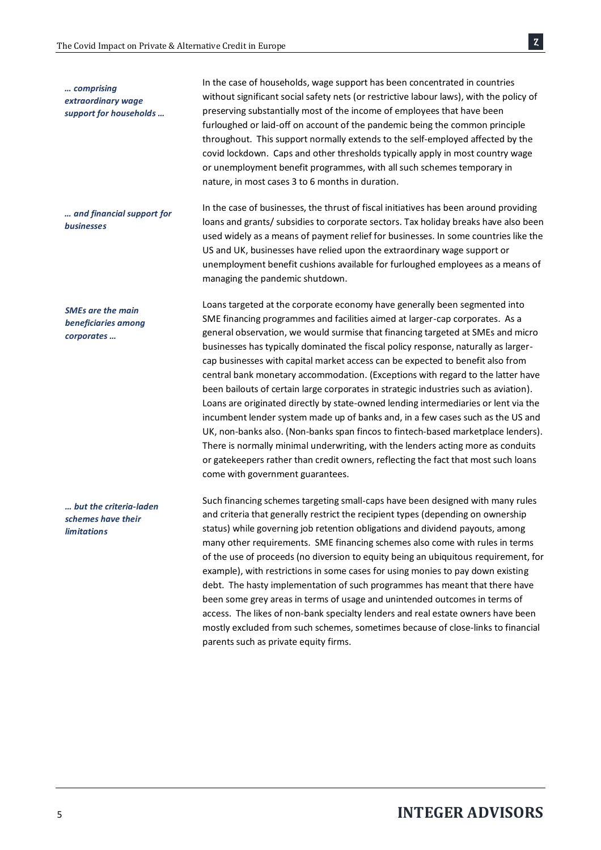In the case of households, wage support has been concentrated in countries without significant social safety nets (or restrictive labour laws), with the policy of preserving substantially most of the income of employees that have been furloughed or laid-off on account of the pandemic being the common principle throughout. This support normally extends to the self-employed affected by the covid lockdown. Caps and other thresholds typically apply in most country wage or unemployment benefit programmes, with all such schemes temporary in nature, in most cases 3 to 6 months in duration. *support for households …*

In the case of businesses, the thrust of fiscal initiatives has been around providing loans and grants/ subsidies to corporate sectors. Tax holiday breaks have also been used widely as a means of payment relief for businesses. In some countries like the US and UK, businesses have relied upon the extraordinary wage support or unemployment benefit cushions available for furloughed employees as a means of managing the pandemic shutdown. *… and financial support for businesses*

> Loans targeted at the corporate economy have generally been segmented into SME financing programmes and facilities aimed at larger-cap corporates. As a general observation, we would surmise that financing targeted at SMEs and micro businesses has typically dominated the fiscal policy response, naturally as largercap businesses with capital market access can be expected to benefit also from central bank monetary accommodation. (Exceptions with regard to the latter have been bailouts of certain large corporates in strategic industries such as aviation). Loans are originated directly by state-owned lending intermediaries or lent via the incumbent lender system made up of banks and, in a few cases such as the US and UK, non-banks also. (Non-banks span fincos to fintech-based marketplace lenders). There is normally minimal underwriting, with the lenders acting more as conduits or gatekeepers rather than credit owners, reflecting the fact that most such loans come with government guarantees.

Such financing schemes targeting small-caps have been designed with many rules and criteria that generally restrict the recipient types (depending on ownership status) while governing job retention obligations and dividend payouts, among many other requirements. SME financing schemes also come with rules in terms of the use of proceeds (no diversion to equity being an ubiquitous requirement, for example), with restrictions in some cases for using monies to pay down existing debt. The hasty implementation of such programmes has meant that there have been some grey areas in terms of usage and unintended outcomes in terms of access. The likes of non-bank specialty lenders and real estate owners have been mostly excluded from such schemes, sometimes because of close-links to financial parents such as private equity firms.

*SMEs are the main* 

*… comprising extraordinary wage* 

*beneficiaries among corporates …*

*… but the criteria-laden schemes have their limitations*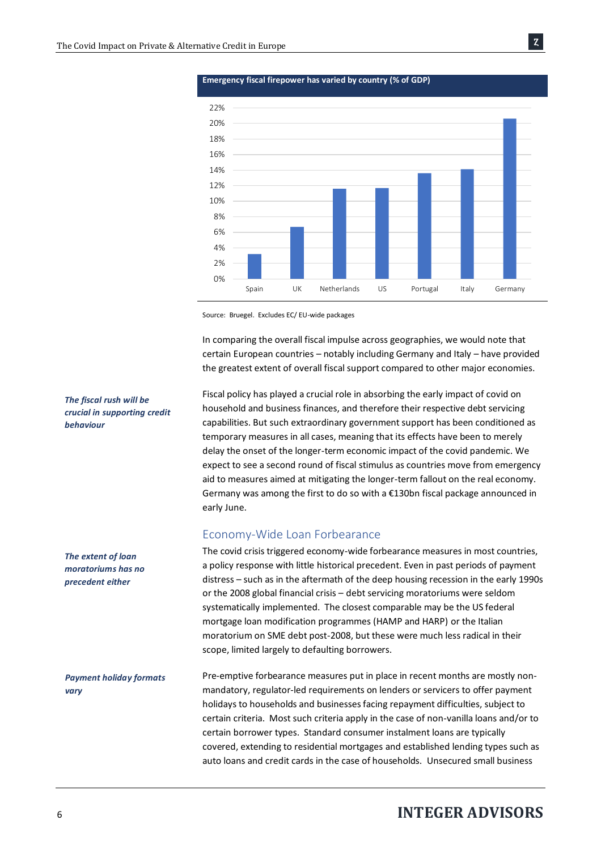

**Emergency fiscal firepower has varied by country (% of GDP)**

Source: Bruegel. Excludes EC/ EU-wide packages

In comparing the overall fiscal impulse across geographies, we would note that certain European countries – notably including Germany and Italy – have provided the greatest extent of overall fiscal support compared to other major economies.

Fiscal policy has played a crucial role in absorbing the early impact of covid on household and business finances, and therefore their respective debt servicing capabilities. But such extraordinary government support has been conditioned as temporary measures in all cases, meaning that its effects have been to merely delay the onset of the longer-term economic impact of the covid pandemic. We expect to see a second round of fiscal stimulus as countries move from emergency aid to measures aimed at mitigating the longer-term fallout on the real economy. Germany was among the first to do so with a €130bn fiscal package announced in early June.

#### Economy-Wide Loan Forbearance

The covid crisis triggered economy-wide forbearance measures in most countries, a policy response with little historical precedent. Even in past periods of payment distress – such as in the aftermath of the deep housing recession in the early 1990s or the 2008 global financial crisis – debt servicing moratoriums were seldom systematically implemented. The closest comparable may be the US federal mortgage loan modification programmes (HAMP and HARP) or the Italian moratorium on SME debt post-2008, but these were much less radical in their scope, limited largely to defaulting borrowers.

Pre-emptive forbearance measures put in place in recent months are mostly nonmandatory, regulator-led requirements on lenders or servicers to offer payment holidays to households and businesses facing repayment difficulties, subject to certain criteria. Most such criteria apply in the case of non-vanilla loans and/or to certain borrower types. Standard consumer instalment loans are typically covered, extending to residential mortgages and established lending types such as auto loans and credit cards in the case of households. Unsecured small business *Payment holiday formats vary*

### *The fiscal rush will be crucial in supporting credit behaviour*

*The extent of loan moratoriums has no precedent either*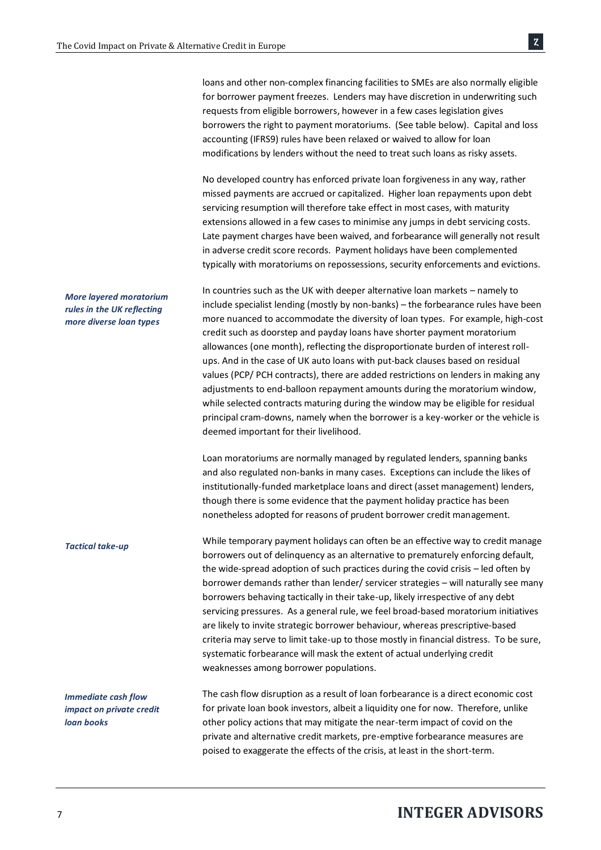loans and other non-complex financing facilities to SMEs are also normally eligible for borrower payment freezes. Lenders may have discretion in underwriting such requests from eligible borrowers, however in a few cases legislation gives borrowers the right to payment moratoriums. (See table below). Capital and loss accounting (IFRS9) rules have been relaxed or waived to allow for loan modifications by lenders without the need to treat such loans as risky assets.

No developed country has enforced private loan forgiveness in any way, rather missed payments are accrued or capitalized. Higher loan repayments upon debt servicing resumption will therefore take effect in most cases, with maturity extensions allowed in a few cases to minimise any jumps in debt servicing costs. Late payment charges have been waived, and forbearance will generally not result in adverse credit score records. Payment holidays have been complemented typically with moratoriums on repossessions, security enforcements and evictions.

In countries such as the UK with deeper alternative loan markets – namely to include specialist lending (mostly by non-banks) – the forbearance rules have been more nuanced to accommodate the diversity of loan types. For example, high-cost credit such as doorstep and payday loans have shorter payment moratorium allowances (one month), reflecting the disproportionate burden of interest rollups. And in the case of UK auto loans with put-back clauses based on residual values (PCP/ PCH contracts), there are added restrictions on lenders in making any adjustments to end-balloon repayment amounts during the moratorium window, while selected contracts maturing during the window may be eligible for residual principal cram-downs, namely when the borrower is a key-worker or the vehicle is deemed important for their livelihood. *More layered moratorium rules in the UK reflecting more diverse loan types*

> Loan moratoriums are normally managed by regulated lenders, spanning banks and also regulated non-banks in many cases. Exceptions can include the likes of institutionally-funded marketplace loans and direct (asset management) lenders, though there is some evidence that the payment holiday practice has been nonetheless adopted for reasons of prudent borrower credit management.

While temporary payment holidays can often be an effective way to credit manage borrowers out of delinquency as an alternative to prematurely enforcing default, the wide-spread adoption of such practices during the covid crisis – led often by borrower demands rather than lender/ servicer strategies – will naturally see many borrowers behaving tactically in their take-up, likely irrespective of any debt servicing pressures. As a general rule, we feel broad-based moratorium initiatives are likely to invite strategic borrower behaviour, whereas prescriptive-based criteria may serve to limit take-up to those mostly in financial distress. To be sure, systematic forbearance will mask the extent of actual underlying credit weaknesses among borrower populations.

The cash flow disruption as a result of loan forbearance is a direct economic cost for private loan book investors, albeit a liquidity one for now. Therefore, unlike other policy actions that may mitigate the near-term impact of covid on the private and alternative credit markets, pre-emptive forbearance measures are poised to exaggerate the effects of the crisis, at least in the short-term. *Immediate cash flow impact on private credit loan books*

#### *Tactical take-up*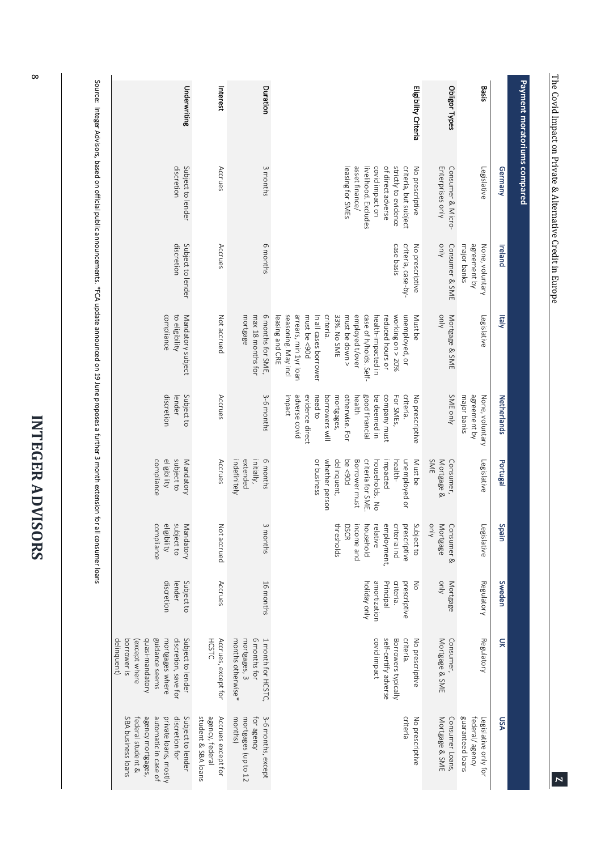| Ĺ<br>ļ |
|--------|
| ţ      |
| r      |
|        |
| ì<br>ĺ |
|        |
|        |
|        |
|        |
|        |
| г      |
|        |
|        |

|                                                                                                                                             | Underwriting                                                                                                                                         | Interest                                                     | Duration                                                                | Eligibility Criteria                                                                                                                                                                                                                                                                           | Obligor Types                                  | Basis                                                                    |
|---------------------------------------------------------------------------------------------------------------------------------------------|------------------------------------------------------------------------------------------------------------------------------------------------------|--------------------------------------------------------------|-------------------------------------------------------------------------|------------------------------------------------------------------------------------------------------------------------------------------------------------------------------------------------------------------------------------------------------------------------------------------------|------------------------------------------------|--------------------------------------------------------------------------|
|                                                                                                                                             |                                                                                                                                                      |                                                              |                                                                         |                                                                                                                                                                                                                                                                                                |                                                |                                                                          |
| Source: Integer Advisors, based on official public announcements. *FCA update announced on 19 June proposes a further 3 month extension for | discretion<br>Subject to lender                                                                                                                      | Accrues                                                      | 3 months                                                                | of direct adverse<br>strictly to evidence<br>criteria, but subject<br>asset finance/<br>covid impact on<br>leasing for SMEs<br>livelihood. Excludes<br>No prescriptive                                                                                                                         | Enterprises only<br>Consumer & Micro-          | Legislative<br>Germany                                                   |
|                                                                                                                                             | discretion<br>Subject to lender                                                                                                                      | Accrues                                                      | 6 months                                                                | case basis<br>criteria, case-by-<br>No prescriptive                                                                                                                                                                                                                                            | only<br>Consumer & SME                         | agreement by<br>major banks<br><b>Ireland</b><br>None, voluntary         |
|                                                                                                                                             | compliance<br>Mandatory subject<br>to eligibility                                                                                                    | Not accrued                                                  | max 18 months for<br>6 months for SME,<br>mortgage                      | arrears, min 1yr loan<br>seasoning. May incl<br>must be <90d<br>criteria.<br>33%. No SME<br>must be down ><br>employed t/over<br>working on > 20%<br>unemployed, or<br>In all cases borrower<br>case of h/holds. Self-<br>reduced hours or<br>Must be<br>leasing and CRE<br>health-impacted in | VIIIV<br>Mortgage & SME                        | <b>Allahy</b><br>Legislative                                             |
|                                                                                                                                             | discretion<br>Subject to<br>lender                                                                                                                   | Accrues                                                      | 3-6 months                                                              | need to<br>adverse covid<br>evidence direct<br>borrowers will<br>otherwise. For<br>good financial<br>company must<br>criteria.<br>impact<br>mortgages,<br>be deemed in<br>For SMEs,<br>No prescriptive<br>health                                                                               | SME only                                       | agreement by<br>major banks<br>None, voluntary<br>Netherlands            |
|                                                                                                                                             | eligibility<br>subject to<br>compliance<br>Mandatory                                                                                                 | Accrues                                                      | initially,<br>extended<br>6 months<br>indefinitely                      | whether person<br>delinquent,<br>criteria for SME<br>Must be<br>or business<br>be <90d<br>Borrower must<br>unemployed or<br>impacted<br>health-<br>households. No                                                                                                                              | SME<br>Mortgage &<br>Consumer,                 | Portugal<br>Legislative                                                  |
| all consumer loans                                                                                                                          | compliance<br>eligibility<br>subject to<br>Viandatory                                                                                                | Not accrued                                                  | 3 months                                                                | Subject to<br>thresholds<br>DSCR<br>ncome and<br>plousehold<br>relative<br>amployment,<br>criteria incl<br>orescriptive                                                                                                                                                                        | $\frac{1}{2}$<br><b>Mortgage</b><br>Consumer & | legislative<br>Spain                                                     |
|                                                                                                                                             | discretion<br>Subject to<br>lender                                                                                                                   | Accrues                                                      | 16 months                                                               | amortization<br>criteria.<br>prescriptive<br>holiday only<br>Principal<br>$\leq$                                                                                                                                                                                                               | only<br>Mortgage                               | Sweden<br><b>Regulatory</b>                                              |
|                                                                                                                                             | quasi-mandatory<br>guidance seems<br>discretion, save for<br>Subject to lender<br>delinquent)<br>mortgages where<br>borrower is<br>(except where     | <b>HCSTC</b><br>Accrues, except for                          | 6 months for<br>1 month for HCSTC,<br>mortgages, 3<br>months otherwise* | covid impact<br>self-certify adverse<br>criteria.<br>Borrowers typically<br>No prescriptive                                                                                                                                                                                                    | Mortgage & SME<br>Consumer,                    | <b>Regulatory</b><br>ă                                                   |
|                                                                                                                                             | discretion for<br>SBA business loans<br>agency mortgages,<br>automatic in case of<br>private loans, mostly<br>Subject to lender<br>federal student & | student & SBA loans<br>agency, federal<br>Accrues except for | 3-6 months, except<br>months)<br>mortgages (up to 12<br>for agency      | criteria<br>No prescriptive                                                                                                                                                                                                                                                                    | Mortgage & SME<br>Consumer Loans,              | guaranteed loans<br>federal/agency<br><b>DSA</b><br>Legislative only for |

 $\infty$ 

The Covid Impact on Private & Alternative Credit in Europe

The Covid Impact on Private & Alternative Credit in Europe

**Payment moratoriums Payment moratoriums compared**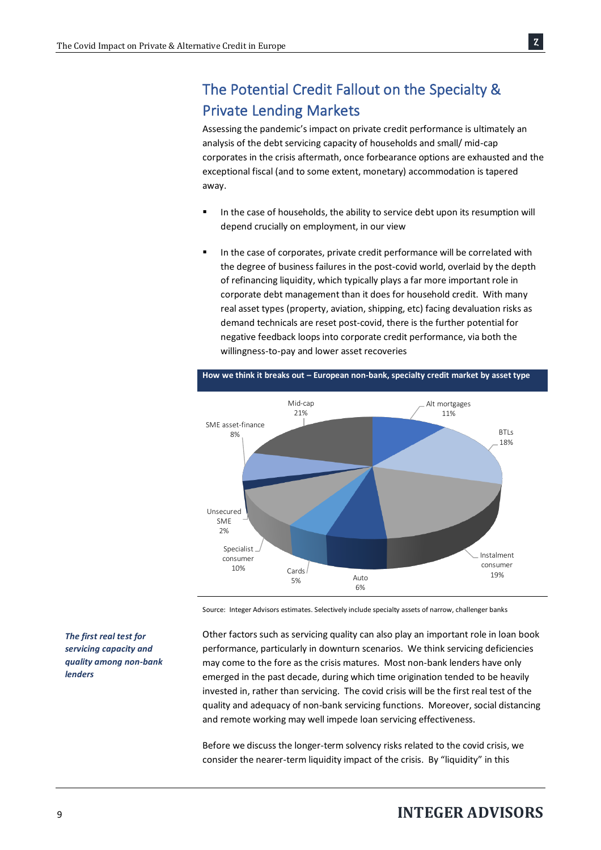# The Potential Credit Fallout on the Specialty & Private Lending Markets

Assessing the pandemic's impact on private credit performance is ultimately an analysis of the debt servicing capacity of households and small/ mid-cap corporates in the crisis aftermath, once forbearance options are exhausted and the exceptional fiscal (and to some extent, monetary) accommodation is tapered away.

- In the case of households, the ability to service debt upon its resumption will depend crucially on employment, in our view
- In the case of corporates, private credit performance will be correlated with the degree of business failures in the post-covid world, overlaid by the depth of refinancing liquidity, which typically plays a far more important role in corporate debt management than it does for household credit. With many real asset types (property, aviation, shipping, etc) facing devaluation risks as demand technicals are reset post-covid, there is the further potential for negative feedback loops into corporate credit performance, via both the willingness-to-pay and lower asset recoveries



**How we think it breaks out – European non-bank, specialty credit market by asset type**

Source: Integer Advisors estimates. Selectively include specialty assets of narrow, challenger banks

*The first real test for servicing capacity and quality among non-bank lenders* 

Other factors such as servicing quality can also play an important role in loan book performance, particularly in downturn scenarios. We think servicing deficiencies may come to the fore as the crisis matures. Most non-bank lenders have only emerged in the past decade, during which time origination tended to be heavily invested in, rather than servicing. The covid crisis will be the first real test of the quality and adequacy of non-bank servicing functions. Moreover, social distancing and remote working may well impede loan servicing effectiveness.

Before we discuss the longer-term solvency risks related to the covid crisis, we consider the nearer-term liquidity impact of the crisis. By "liquidity" in this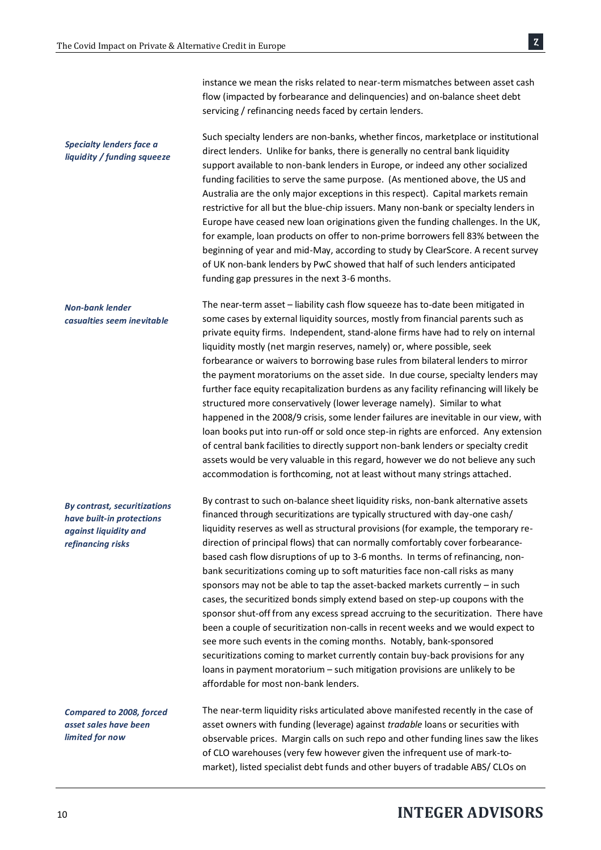instance we mean the risks related to near-term mismatches between asset cash flow (impacted by forbearance and delinquencies) and on-balance sheet debt servicing / refinancing needs faced by certain lenders.

Such specialty lenders are non-banks, whether fincos, marketplace or institutional direct lenders. Unlike for banks, there is generally no central bank liquidity support available to non-bank lenders in Europe, or indeed any other socialized funding facilities to serve the same purpose. (As mentioned above, the US and Australia are the only major exceptions in this respect). Capital markets remain restrictive for all but the blue-chip issuers. Many non-bank or specialty lenders in Europe have ceased new loan originations given the funding challenges. In the UK, for example, loan products on offer to non-prime borrowers fell 83% between the beginning of year and mid-May, according to study by ClearScore. A recent survey of UK non-bank lenders by PwC showed that half of such lenders anticipated funding gap pressures in the next 3-6 months. *Specialty lenders face a liquidity / funding squeeze* 

The near-term asset – liability cash flow squeeze has to-date been mitigated in some cases by external liquidity sources, mostly from financial parents such as private equity firms. Independent, stand-alone firms have had to rely on internal liquidity mostly (net margin reserves, namely) or, where possible, seek forbearance or waivers to borrowing base rules from bilateral lenders to mirror the payment moratoriums on the asset side. In due course, specialty lenders may further face equity recapitalization burdens as any facility refinancing will likely be structured more conservatively (lower leverage namely). Similar to what happened in the 2008/9 crisis, some lender failures are inevitable in our view, with loan books put into run-off or sold once step-in rights are enforced. Any extension of central bank facilities to directly support non-bank lenders or specialty credit assets would be very valuable in this regard, however we do not believe any such accommodation is forthcoming, not at least without many strings attached. *Non-bank lender casualties seem inevitable*

*By contrast, securitizations have built-in protections against liquidity and refinancing risks* 

*Compared to 2008, forced asset sales have been limited for now*

By contrast to such on-balance sheet liquidity risks, non-bank alternative assets financed through securitizations are typically structured with day-one cash/ liquidity reserves as well as structural provisions (for example, the temporary redirection of principal flows) that can normally comfortably cover forbearancebased cash flow disruptions of up to 3-6 months. In terms of refinancing, nonbank securitizations coming up to soft maturities face non-call risks as many sponsors may not be able to tap the asset-backed markets currently – in such cases, the securitized bonds simply extend based on step-up coupons with the sponsor shut-off from any excess spread accruing to the securitization. There have been a couple of securitization non-calls in recent weeks and we would expect to see more such events in the coming months. Notably, bank-sponsored securitizations coming to market currently contain buy-back provisions for any loans in payment moratorium – such mitigation provisions are unlikely to be affordable for most non-bank lenders.

The near-term liquidity risks articulated above manifested recently in the case of asset owners with funding (leverage) against *tradable* loans or securities with observable prices. Margin calls on such repo and other funding lines saw the likes of CLO warehouses(very few however given the infrequent use of mark-tomarket), listed specialist debt funds and other buyers of tradable ABS/ CLOs on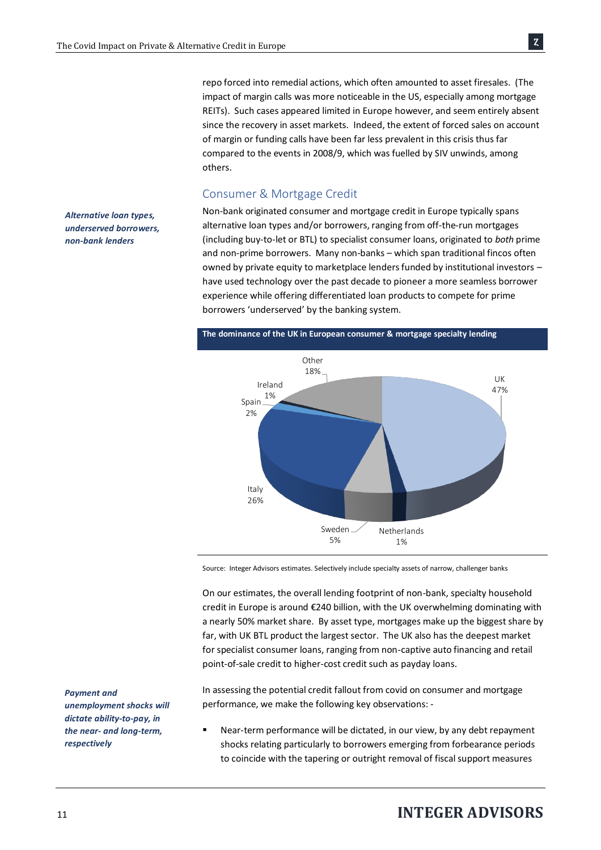repo forced into remedial actions, which often amounted to asset firesales. (The impact of margin calls was more noticeable in the US, especially among mortgage REITs). Such cases appeared limited in Europe however, and seem entirely absent since the recovery in asset markets. Indeed, the extent of forced sales on account of margin or funding calls have been far less prevalent in this crisis thus far compared to the events in 2008/9, which was fuelled by SIV unwinds, among others.

#### Consumer & Mortgage Credit

*Alternative loan types, underserved borrowers, non-bank lenders*

Non-bank originated consumer and mortgage credit in Europe typically spans alternative loan types and/or borrowers, ranging from off-the-run mortgages (including buy-to-let or BTL) to specialist consumer loans, originated to *both* prime and non-prime borrowers. Many non-banks – which span traditional fincos often owned by private equity to marketplace lenders funded by institutional investors – have used technology over the past decade to pioneer a more seamless borrower experience while offering differentiated loan products to compete for prime borrowers 'underserved' by the banking system.



Source: Integer Advisors estimates. Selectively include specialty assets of narrow, challenger banks

On our estimates, the overall lending footprint of non-bank, specialty household credit in Europe is around €240 billion, with the UK overwhelming dominating with a nearly 50% market share. By asset type, mortgages make up the biggest share by far, with UK BTL product the largest sector. The UK also has the deepest market for specialist consumer loans, ranging from non-captive auto financing and retail point-of-sale credit to higher-cost credit such as payday loans.

In assessing the potential credit fallout from covid on consumer and mortgage performance, we make the following key observations: -

Near-term performance will be dictated, in our view, by any debt repayment shocks relating particularly to borrowers emerging from forbearance periods to coincide with the tapering or outright removal of fiscal support measures

*Payment and unemployment shocks will dictate ability-to-pay, in the near- and long-term, respectively*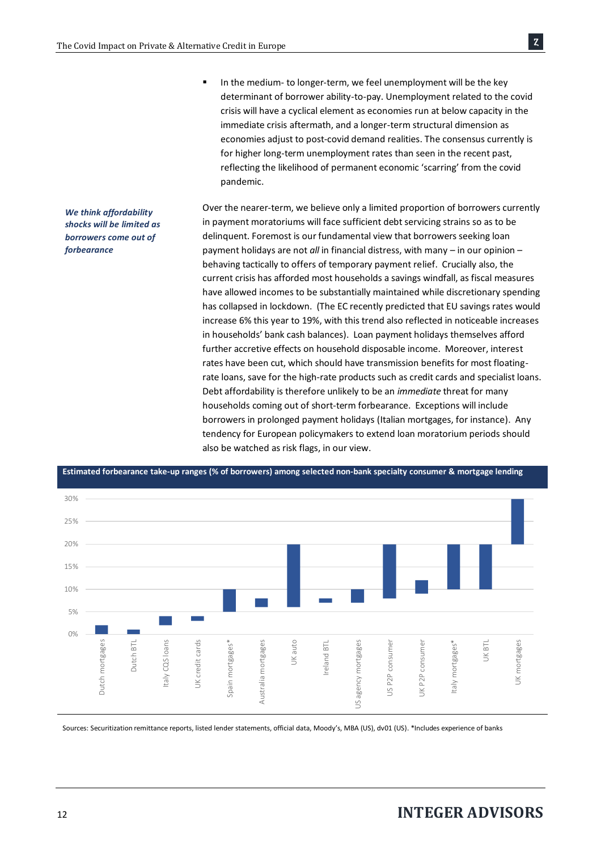*We think affordability shocks will be limited as borrowers come out of* 

*forbearance*

■ In the medium- to longer-term, we feel unemployment will be the key determinant of borrower ability-to-pay. Unemployment related to the covid crisis will have a cyclical element as economies run at below capacity in the immediate crisis aftermath, and a longer-term structural dimension as economies adjust to post-covid demand realities. The consensus currently is for higher long-term unemployment rates than seen in the recent past, reflecting the likelihood of permanent economic 'scarring' from the covid pandemic.

Over the nearer-term, we believe only a limited proportion of borrowers currently in payment moratoriums will face sufficient debt servicing strains so as to be delinquent. Foremost is our fundamental view that borrowers seeking loan payment holidays are not *all* in financial distress, with many – in our opinion – behaving tactically to offers of temporary payment relief. Crucially also, the current crisis has afforded most households a savings windfall, as fiscal measures have allowed incomes to be substantially maintained while discretionary spending has collapsed in lockdown. (The EC recently predicted that EU savings rates would increase 6% this year to 19%, with this trend also reflected in noticeable increases in households' bank cash balances). Loan payment holidays themselves afford further accretive effects on household disposable income. Moreover, interest rates have been cut, which should have transmission benefits for most floatingrate loans, save for the high-rate products such as credit cards and specialist loans. Debt affordability is therefore unlikely to be an *immediate* threat for many households coming out of short-term forbearance. Exceptions will include borrowers in prolonged payment holidays (Italian mortgages, for instance). Any tendency for European policymakers to extend loan moratorium periods should also be watched as risk flags, in our view.



**Estimated forbearance take-up ranges (% of borrowers) among selected non-bank specialty consumer & mortgage lending**

Sources: Securitization remittance reports, listed lender statements, official data, Moody's, MBA (US), dv01 (US). \*Includes experience of banks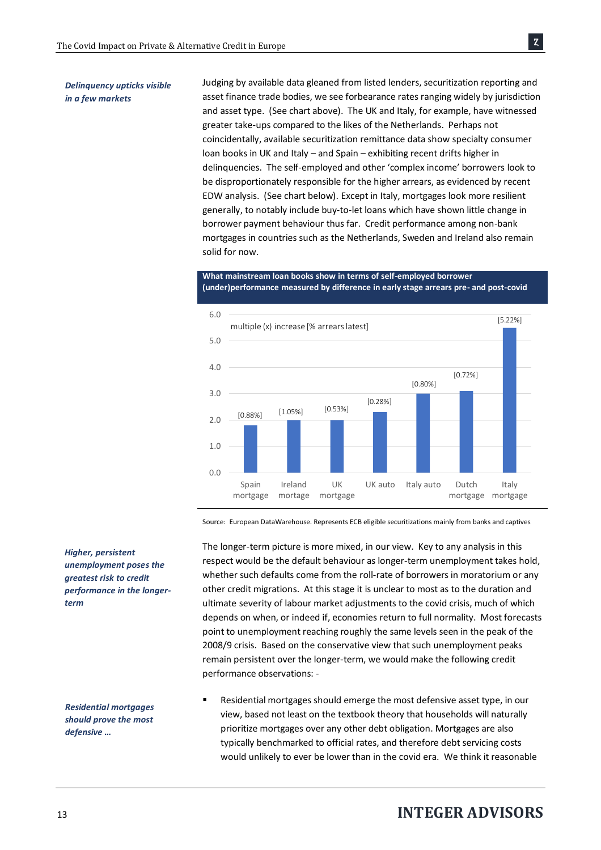Judging by available data gleaned from listed lenders, securitization reporting and asset finance trade bodies, we see forbearance rates ranging widely by jurisdiction and asset type. (See chart above). The UK and Italy, for example, have witnessed greater take-ups compared to the likes of the Netherlands. Perhaps not coincidentally, available securitization remittance data show specialty consumer loan books in UK and Italy – and Spain – exhibiting recent drifts higher in delinquencies. The self-employed and other 'complex income' borrowers look to be disproportionately responsible for the higher arrears, as evidenced by recent EDW analysis. (See chart below). Except in Italy, mortgages look more resilient generally, to notably include buy-to-let loans which have shown little change in borrower payment behaviour thus far. Credit performance among non-bank mortgages in countries such as the Netherlands, Sweden and Ireland also remain solid for now.

0.0 1.0 2.0 3.0 4.0 5.0 6.0 Spain mortgage Ireland mortage UK mortgage UK auto Italy auto Dutch mortgage mortgage Italy [0.88%] multiple (x) increase [% arrears latest] [1.05%] [0.53%] [0.28%] [0.80%] [0.72%] [5.22%]

**What mainstream loan books show in terms of self-employed borrower (under)performance measured by difference in early stage arrears pre- and post-covid** 

Source: European DataWarehouse. Represents ECB eligible securitizations mainly from banks and captives

The longer-term picture is more mixed, in our view. Key to any analysis in this respect would be the default behaviour as longer-term unemployment takes hold, whether such defaults come from the roll-rate of borrowers in moratorium or any other credit migrations. At this stage it is unclear to most as to the duration and ultimate severity of labour market adjustments to the covid crisis, much of which depends on when, or indeed if, economies return to full normality. Most forecasts point to unemployment reaching roughly the same levels seen in the peak of the 2008/9 crisis. Based on the conservative view that such unemployment peaks remain persistent over the longer-term, we would make the following credit performance observations: -

Residential mortgages should emerge the most defensive asset type, in our view, based not least on the textbook theory that households will naturally prioritize mortgages over any other debt obligation. Mortgages are also typically benchmarked to official rates, and therefore debt servicing costs would unlikely to ever be lower than in the covid era. We think it reasonable

*Higher, persistent unemployment poses the greatest risk to credit performance in the longerterm*

*Residential mortgages should prove the most defensive …*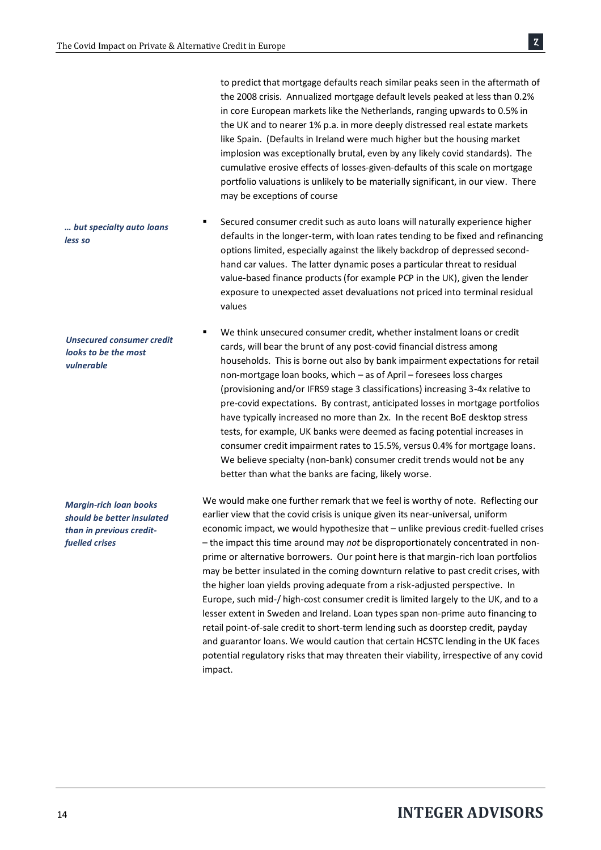to predict that mortgage defaults reach similar peaks seen in the aftermath of the 2008 crisis. Annualized mortgage default levels peaked at less than 0.2% in core European markets like the Netherlands, ranging upwards to 0.5% in the UK and to nearer 1% p.a. in more deeply distressed real estate markets like Spain. (Defaults in Ireland were much higher but the housing market implosion was exceptionally brutal, even by any likely covid standards). The cumulative erosive effects of losses-given-defaults of this scale on mortgage portfolio valuations is unlikely to be materially significant, in our view. There may be exceptions of course

Secured consumer credit such as auto loans will naturally experience higher defaults in the longer-term, with loan rates tending to be fixed and refinancing options limited, especially against the likely backdrop of depressed secondhand car values. The latter dynamic poses a particular threat to residual value-based finance products (for example PCP in the UK), given the lender exposure to unexpected asset devaluations not priced into terminal residual values

We think unsecured consumer credit, whether instalment loans or credit cards, will bear the brunt of any post-covid financial distress among households. This is borne out also by bank impairment expectations for retail non-mortgage loan books, which – as of April – foresees loss charges (provisioning and/or IFRS9 stage 3 classifications) increasing 3-4x relative to pre-covid expectations. By contrast, anticipated losses in mortgage portfolios have typically increased no more than 2x. In the recent BoE desktop stress tests, for example, UK banks were deemed as facing potential increases in consumer credit impairment rates to 15.5%, versus 0.4% for mortgage loans. We believe specialty (non-bank) consumer credit trends would not be any better than what the banks are facing, likely worse.

We would make one further remark that we feel is worthy of note. Reflecting our earlier view that the covid crisis is unique given its near-universal, uniform economic impact, we would hypothesize that – unlike previous credit-fuelled crises – the impact this time around may *not* be disproportionately concentrated in nonprime or alternative borrowers. Our point here is that margin-rich loan portfolios may be better insulated in the coming downturn relative to past credit crises, with the higher loan yields proving adequate from a risk-adjusted perspective. In Europe, such mid-/ high-cost consumer credit is limited largely to the UK, and to a lesser extent in Sweden and Ireland. Loan types span non-prime auto financing to retail point-of-sale credit to short-term lending such as doorstep credit, payday and guarantor loans. We would caution that certain HCSTC lending in the UK faces potential regulatory risks that may threaten their viability, irrespective of any covid impact.

*… but specialty auto loans less so*

*Unsecured consumer credit looks to be the most vulnerable*

*Margin-rich loan books should be better insulated than in previous creditfuelled crises*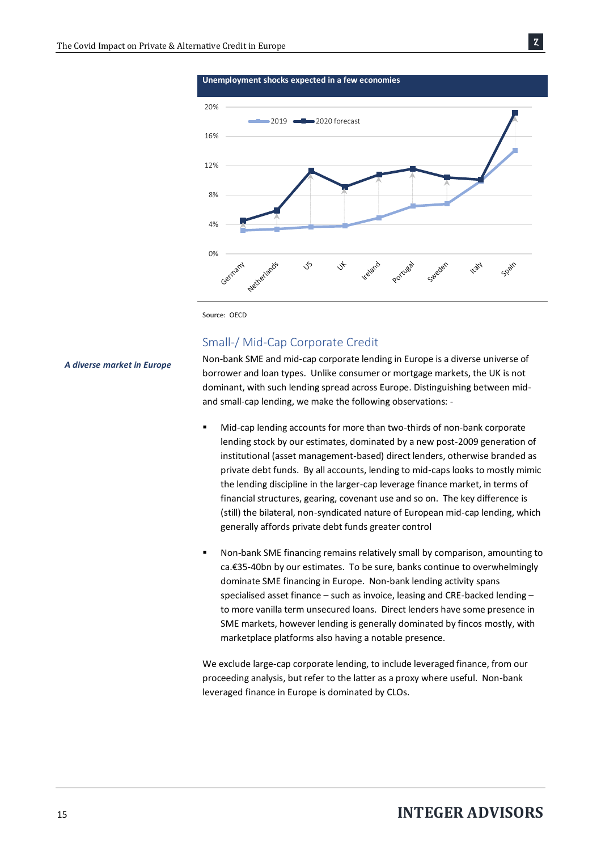

Source: OECD

### Small-/ Mid-Cap Corporate Credit

*A diverse market in Europe*

Non-bank SME and mid-cap corporate lending in Europe is a diverse universe of borrower and loan types. Unlike consumer or mortgage markets, the UK is not dominant, with such lending spread across Europe. Distinguishing between midand small-cap lending, we make the following observations: -

- Mid-cap lending accounts for more than two-thirds of non-bank corporate lending stock by our estimates, dominated by a new post-2009 generation of institutional (asset management-based) direct lenders, otherwise branded as private debt funds. By all accounts, lending to mid-caps looks to mostly mimic the lending discipline in the larger-cap leverage finance market, in terms of financial structures, gearing, covenant use and so on. The key difference is (still) the bilateral, non-syndicated nature of European mid-cap lending, which generally affords private debt funds greater control
- Non-bank SME financing remains relatively small by comparison, amounting to ca.€35-40bn by our estimates. To be sure, banks continue to overwhelmingly dominate SME financing in Europe. Non-bank lending activity spans specialised asset finance – such as invoice, leasing and CRE-backed lending – to more vanilla term unsecured loans. Direct lenders have some presence in SME markets, however lending is generally dominated by fincos mostly, with marketplace platforms also having a notable presence.

We exclude large-cap corporate lending, to include leveraged finance, from our proceeding analysis, but refer to the latter as a proxy where useful. Non-bank leveraged finance in Europe is dominated by CLOs.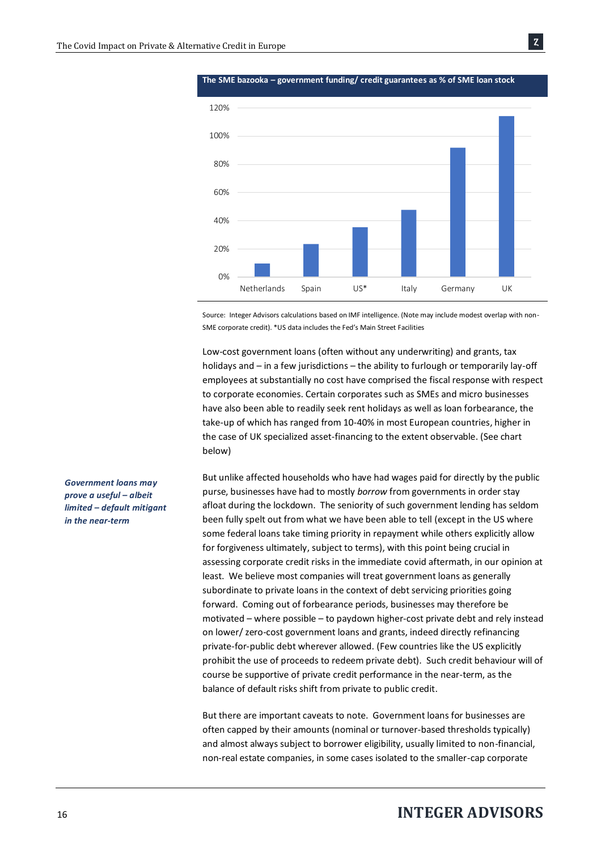

**The SME bazooka – government funding/ credit guarantees as % of SME loan stock**

Ȥ

Source: Integer Advisors calculations based on IMF intelligence. (Note may include modest overlap with non-SME corporate credit). \*US data includes the Fed's Main Street Facilities

Low-cost government loans (often without any underwriting) and grants, tax holidays and – in a few jurisdictions – the ability to furlough or temporarily lay-off employees at substantially no cost have comprised the fiscal response with respect to corporate economies. Certain corporates such as SMEs and micro businesses have also been able to readily seek rent holidays as well as loan forbearance, the take-up of which has ranged from 10-40% in most European countries, higher in the case of UK specialized asset-financing to the extent observable. (See chart below)

But unlike affected households who have had wages paid for directly by the public purse, businesses have had to mostly *borrow* from governments in order stay afloat during the lockdown. The seniority of such government lending has seldom been fully spelt out from what we have been able to tell (except in the US where some federal loans take timing priority in repayment while others explicitly allow for forgiveness ultimately, subject to terms), with this point being crucial in assessing corporate credit risks in the immediate covid aftermath, in our opinion at least. We believe most companies will treat government loans as generally subordinate to private loans in the context of debt servicing priorities going forward. Coming out of forbearance periods, businesses may therefore be motivated – where possible – to paydown higher-cost private debt and rely instead on lower/ zero-cost government loans and grants, indeed directly refinancing private-for-public debt wherever allowed. (Few countries like the US explicitly prohibit the use of proceeds to redeem private debt). Such credit behaviour will of course be supportive of private credit performance in the near-term, as the balance of default risks shift from private to public credit.

But there are important caveats to note. Government loans for businesses are often capped by their amounts (nominal or turnover-based thresholds typically) and almost always subject to borrower eligibility, usually limited to non-financial, non-real estate companies, in some cases isolated to the smaller-cap corporate

*Government loans may prove a useful – albeit limited – default mitigant in the near-term*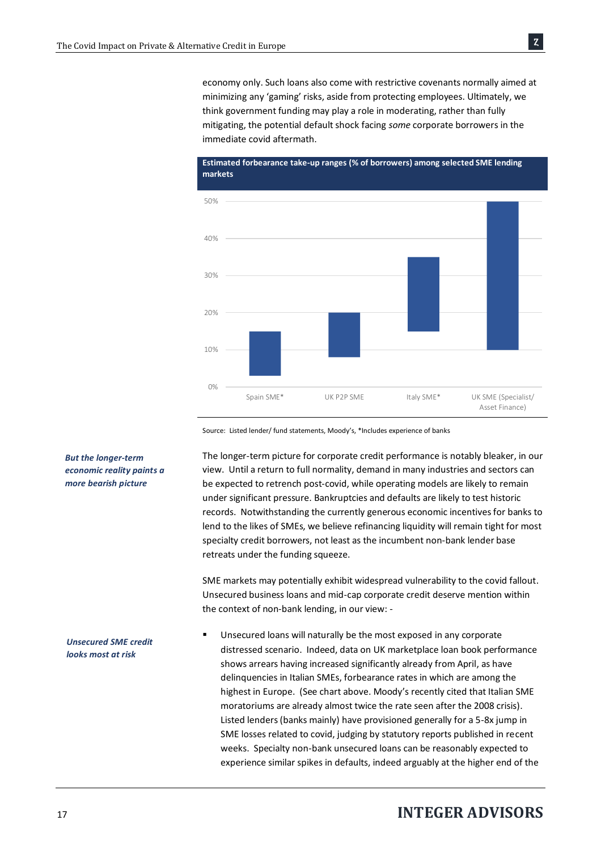economy only. Such loans also come with restrictive covenants normally aimed at minimizing any 'gaming' risks, aside from protecting employees. Ultimately, we think government funding may play a role in moderating, rather than fully mitigating, the potential default shock facing *some* corporate borrowers in the immediate covid aftermath.



Source: Listed lender/ fund statements, Moody's, \*Includes experience of banks

The longer-term picture for corporate credit performance is notably bleaker, in our view. Until a return to full normality, demand in many industries and sectors can be expected to retrench post-covid, while operating models are likely to remain under significant pressure. Bankruptcies and defaults are likely to test historic records. Notwithstanding the currently generous economic incentives for banks to lend to the likes of SMEs, we believe refinancing liquidity will remain tight for most specialty credit borrowers, not least as the incumbent non-bank lender base retreats under the funding squeeze.

SME markets may potentially exhibit widespread vulnerability to the covid fallout. Unsecured business loans and mid-cap corporate credit deserve mention within the context of non-bank lending, in our view: -

Unsecured loans will naturally be the most exposed in any corporate distressed scenario. Indeed, data on UK marketplace loan book performance shows arrears having increased significantly already from April, as have delinquencies in Italian SMEs, forbearance rates in which are among the highest in Europe. (See chart above. Moody's recently cited that Italian SME moratoriums are already almost twice the rate seen after the 2008 crisis). Listed lenders (banks mainly) have provisioned generally for a 5-8x jump in SME losses related to covid, judging by statutory reports published in recent weeks. Specialty non-bank unsecured loans can be reasonably expected to experience similar spikes in defaults, indeed arguably at the higher end of the

#### *But the longer-term economic reality paints a more bearish picture*

*Unsecured SME credit looks most at risk*

### <sup>17</sup>**INTEGER ADVISORS**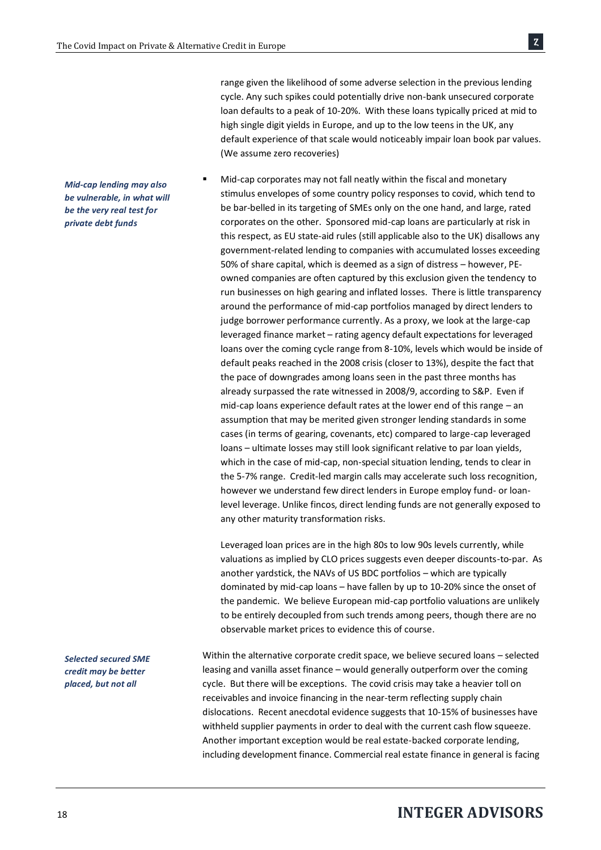*Mid-cap lending may also be vulnerable, in what will be the very real test for private debt funds*

*Selected secured SME credit may be better placed, but not all* 

high single digit yields in Europe, and up to the low teens in the UK, any default experience of that scale would noticeably impair loan book par values. (We assume zero recoveries) Mid-cap corporates may not fall neatly within the fiscal and monetary stimulus envelopes of some country policy responses to covid, which tend to

range given the likelihood of some adverse selection in the previous lending cycle. Any such spikes could potentially drive non-bank unsecured corporate loan defaults to a peak of 10-20%. With these loans typically priced at mid to

Ȥ

be bar-belled in its targeting of SMEs only on the one hand, and large, rated corporates on the other. Sponsored mid-cap loans are particularly at risk in this respect, as EU state-aid rules (still applicable also to the UK) disallows any government-related lending to companies with accumulated losses exceeding 50% of share capital, which is deemed as a sign of distress – however, PEowned companies are often captured by this exclusion given the tendency to run businesses on high gearing and inflated losses. There is little transparency around the performance of mid-cap portfolios managed by direct lenders to judge borrower performance currently. As a proxy, we look at the large-cap leveraged finance market – rating agency default expectations for leveraged loans over the coming cycle range from 8-10%, levels which would be inside of default peaks reached in the 2008 crisis (closer to 13%), despite the fact that the pace of downgrades among loans seen in the past three months has already surpassed the rate witnessed in 2008/9, according to S&P. Even if mid-cap loans experience default rates at the lower end of this range – an assumption that may be merited given stronger lending standards in some cases (in terms of gearing, covenants, etc) compared to large-cap leveraged loans – ultimate losses may still look significant relative to par loan yields, which in the case of mid-cap, non-special situation lending, tends to clear in the 5-7% range. Credit-led margin calls may accelerate such loss recognition, however we understand few direct lenders in Europe employ fund- or loanlevel leverage. Unlike fincos, direct lending funds are not generally exposed to any other maturity transformation risks.

Leveraged loan prices are in the high 80s to low 90s levels currently, while valuations as implied by CLO prices suggests even deeper discounts-to-par. As another yardstick, the NAVs of US BDC portfolios – which are typically dominated by mid-cap loans – have fallen by up to 10-20% since the onset of the pandemic. We believe European mid-cap portfolio valuations are unlikely to be entirely decoupled from such trends among peers, though there are no observable market prices to evidence this of course.

Within the alternative corporate credit space, we believe secured loans – selected leasing and vanilla asset finance – would generally outperform over the coming cycle. But there will be exceptions. The covid crisis may take a heavier toll on receivables and invoice financing in the near-term reflecting supply chain dislocations. Recent anecdotal evidence suggests that 10-15% of businesses have withheld supplier payments in order to deal with the current cash flow squeeze. Another important exception would be real estate-backed corporate lending, including development finance. Commercial real estate finance in general is facing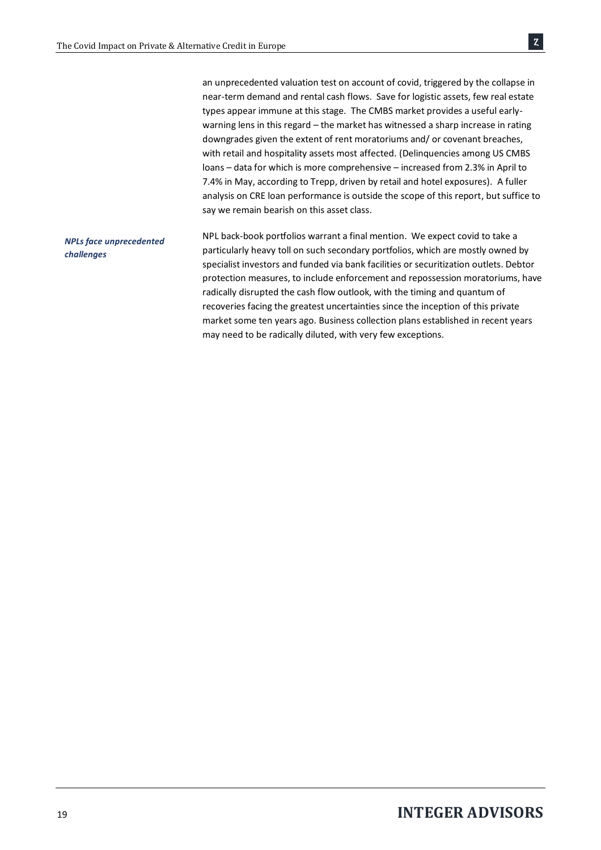|                                                            | an unprecedented valuation test on account of covid, triggered by the collapse in     |
|------------------------------------------------------------|---------------------------------------------------------------------------------------|
|                                                            | near-term demand and rental cash flows. Save for logistic assets, few real estate     |
|                                                            | types appear immune at this stage. The CMBS market provides a useful early-           |
|                                                            | warning lens in this regard – the market has witnessed a sharp increase in rating     |
|                                                            | downgrades given the extent of rent moratoriums and/ or covenant breaches,            |
|                                                            | with retail and hospitality assets most affected. (Delinguencies among US CMBS        |
|                                                            | loans – data for which is more comprehensive – increased from 2.3% in April to        |
|                                                            | 7.4% in May, according to Trepp, driven by retail and hotel exposures). A fuller      |
|                                                            | analysis on CRE loan performance is outside the scope of this report, but suffice to  |
|                                                            | say we remain bearish on this asset class.                                            |
|                                                            | NPL back-book portfolios warrant a final mention. We expect covid to take a           |
| <b>NPLs face unprecedented</b><br><i><b>challenges</b></i> | particularly heavy toll on such secondary portfolios, which are mostly owned by       |
|                                                            | specialist investors and funded via bank facilities or securitization outlets. Debtor |
|                                                            | protection measures, to include enforcement and repossession moratoriums, have        |
|                                                            | radically disrupted the cash flow outlook, with the timing and quantum of             |
|                                                            | recoveries facing the greatest uncertainties since the inception of this private      |
|                                                            | market some ten years ago. Business collection plans established in recent years      |

may need to be radically diluted, with very few exceptions.

 $|z|$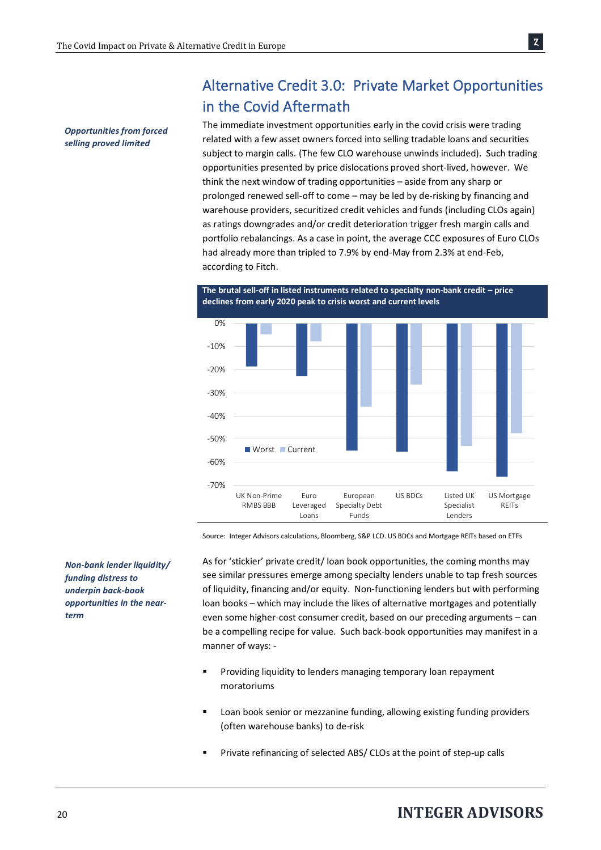# Alternative Credit 3.0: Private Market Opportunities in the Covid Aftermath

*Opportunities from forced selling proved limited*

The immediate investment opportunities early in the covid crisis were trading related with a few asset owners forced into selling tradable loans and securities subject to margin calls. (The few CLO warehouse unwinds included). Such trading opportunities presented by price dislocations proved short-lived, however. We think the next window of trading opportunities – aside from any sharp or prolonged renewed sell-off to come – may be led by de-risking by financing and warehouse providers, securitized credit vehicles and funds (including CLOs again) as ratings downgrades and/or credit deterioration trigger fresh margin calls and portfolio rebalancings. As a case in point, the average CCC exposures of Euro CLOs had already more than tripled to 7.9% by end-May from 2.3% at end-Feb, according to Fitch.





Source: Integer Advisors calculations, Bloomberg, S&P LCD. US BDCs and Mortgage REITs based on ETFs

*Non-bank lender liquidity/ funding distress to underpin back-book opportunities in the nearterm*

As for 'stickier' private credit/ loan book opportunities, the coming months may see similar pressures emerge among specialty lenders unable to tap fresh sources of liquidity, financing and/or equity. Non-functioning lenders but with performing loan books – which may include the likes of alternative mortgages and potentially even some higher-cost consumer credit, based on our preceding arguments – can be a compelling recipe for value. Such back-book opportunities may manifest in a manner of ways: -

- Providing liquidity to lenders managing temporary loan repayment moratoriums
- Loan book senior or mezzanine funding, allowing existing funding providers (often warehouse banks) to de-risk
- Private refinancing of selected ABS/ CLOs at the point of step-up calls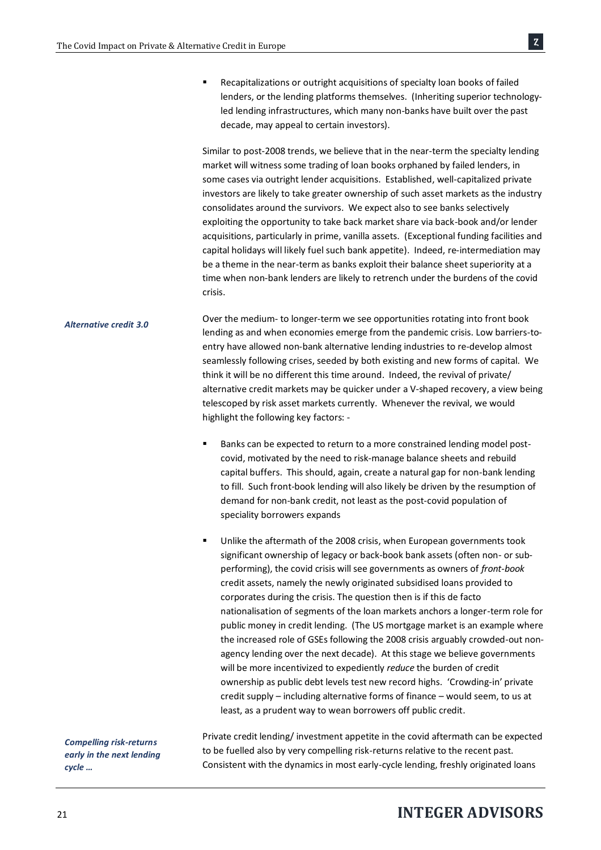■ Recapitalizations or outright acquisitions of specialty loan books of failed lenders, or the lending platforms themselves. (Inheriting superior technologyled lending infrastructures, which many non-banks have built over the past decade, may appeal to certain investors).

Similar to post-2008 trends, we believe that in the near-term the specialty lending market will witness some trading of loan books orphaned by failed lenders, in some cases via outright lender acquisitions. Established, well-capitalized private investors are likely to take greater ownership of such asset markets as the industry consolidates around the survivors. We expect also to see banks selectively exploiting the opportunity to take back market share via back-book and/or lender acquisitions, particularly in prime, vanilla assets. (Exceptional funding facilities and capital holidays will likely fuel such bank appetite). Indeed, re-intermediation may be a theme in the near-term as banks exploit their balance sheet superiority at a time when non-bank lenders are likely to retrench under the burdens of the covid crisis.

Over the medium- to longer-term we see opportunities rotating into front book lending as and when economies emerge from the pandemic crisis. Low barriers-toentry have allowed non-bank alternative lending industries to re-develop almost seamlessly following crises, seeded by both existing and new forms of capital. We think it will be no different this time around. Indeed, the revival of private/ alternative credit markets may be quicker under a V-shaped recovery, a view being telescoped by risk asset markets currently. Whenever the revival, we would highlight the following key factors: - *Alternative credit 3.0*

- Banks can be expected to return to a more constrained lending model postcovid, motivated by the need to risk-manage balance sheets and rebuild capital buffers. This should, again, create a natural gap for non-bank lending to fill. Such front-book lending will also likely be driven by the resumption of demand for non-bank credit, not least as the post-covid population of speciality borrowers expands
- Unlike the aftermath of the 2008 crisis, when European governments took significant ownership of legacy or back-book bank assets (often non- or subperforming), the covid crisis will see governments as owners of *front-book* credit assets, namely the newly originated subsidised loans provided to corporates during the crisis. The question then is if this de facto nationalisation of segments of the loan markets anchors a longer-term role for public money in credit lending. (The US mortgage market is an example where the increased role of GSEs following the 2008 crisis arguably crowded-out nonagency lending over the next decade). At this stage we believe governments will be more incentivized to expediently *reduce* the burden of credit ownership as public debt levels test new record highs. 'Crowding-in' private credit supply – including alternative forms of finance – would seem, to us at least, as a prudent way to wean borrowers off public credit.

*Compelling risk-returns early in the next lending cycle …*

Private credit lending/ investment appetite in the covid aftermath can be expected to be fuelled also by very compelling risk-returns relative to the recent past. Consistent with the dynamics in most early-cycle lending, freshly originated loans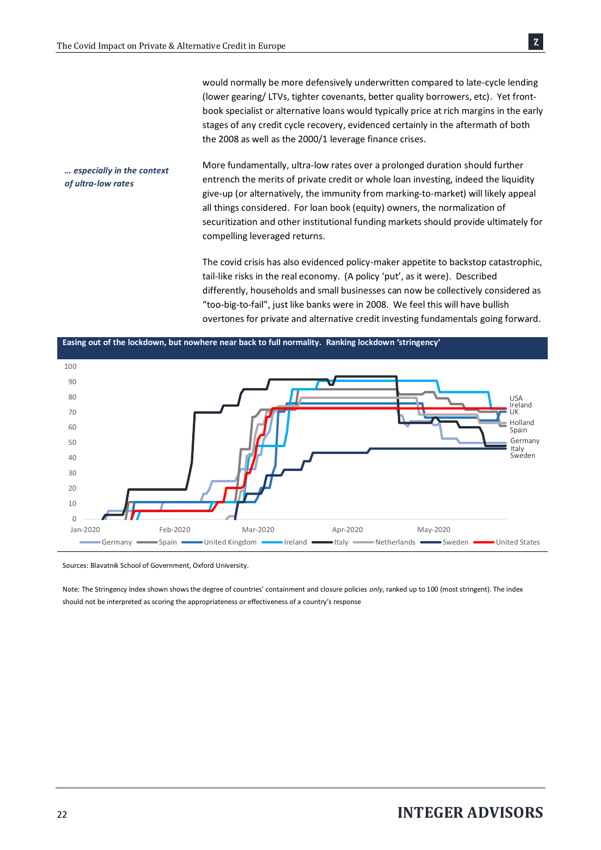would normally be more defensively underwritten compared to late-cycle lending (lower gearing/ LTVs, tighter covenants, better quality borrowers, etc). Yet frontbook specialist or alternative loans would typically price at rich margins in the early stages of any credit cycle recovery, evidenced certainly in the aftermath of both the 2008 as well as the 2000/1 leverage finance crises.

More fundamentally, ultra-low rates over a prolonged duration should further entrench the merits of private credit or whole loan investing, indeed the liquidity give-up (or alternatively, the immunity from marking-to-market) will likely appeal all things considered. For loan book (equity) owners, the normalization of securitization and other institutional funding markets should provide ultimately for compelling leveraged returns. *… especially in the context of ultra-low rates*

> The covid crisis has also evidenced policy-maker appetite to backstop catastrophic, tail-like risks in the real economy. (A policy 'put', as it were). Described differently, households and small businesses can now be collectively considered as "too-big-to-fail", just like banks were in 2008. We feel this will have bullish overtones for private and alternative credit investing fundamentals going forward.



Sources: Blavatnik School of Government, Oxford University.

Note: The Stringency Index shown shows the degree of countries' containment and closure policies *only*, ranked up to 100 (most stringent). The index should not be interpreted as scoring the appropriateness or effectiveness of a country's response